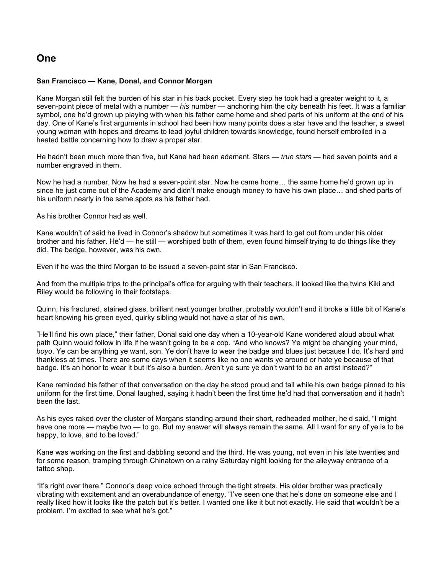## **One**

### **San Francisco — Kane, Donal, and Connor Morgan**

Kane Morgan still felt the burden of his star in his back pocket. Every step he took had a greater weight to it, a seven-point piece of metal with a number — *his* number — anchoring him the city beneath his feet. It was a familiar symbol, one he'd grown up playing with when his father came home and shed parts of his uniform at the end of his day. One of Kane's first arguments in school had been how many points does a star have and the teacher, a sweet young woman with hopes and dreams to lead joyful children towards knowledge, found herself embroiled in a heated battle concerning how to draw a proper star.

He hadn't been much more than five, but Kane had been adamant. Stars — *true stars* — had seven points and a number engraved in them.

Now he had a number. Now he had a seven-point star. Now he came home… the same home he'd grown up in since he just come out of the Academy and didn't make enough money to have his own place… and shed parts of his uniform nearly in the same spots as his father had.

As his brother Connor had as well.

Kane wouldn't of said he lived in Connor's shadow but sometimes it was hard to get out from under his older brother and his father. He'd — he still — worshiped both of them, even found himself trying to do things like they did. The badge, however, was his own.

Even if he was the third Morgan to be issued a seven-point star in San Francisco.

And from the multiple trips to the principal's office for arguing with their teachers, it looked like the twins Kiki and Riley would be following in their footsteps.

Quinn, his fractured, stained glass, brilliant next younger brother, probably wouldn't and it broke a little bit of Kane's heart knowing his green eyed, quirky sibling would not have a star of his own.

"He'll find his own place," their father, Donal said one day when a 10-year-old Kane wondered aloud about what path Quinn would follow in life if he wasn't going to be a cop. "And who knows? Ye might be changing your mind, *boyo*. Ye can be anything ye want, son. Ye don't have to wear the badge and blues just because I do. It's hard and thankless at times. There are some days when it seems like no one wants ye around or hate ye because of that badge. It's an honor to wear it but it's also a burden. Aren't ye sure ye don't want to be an artist instead?"

Kane reminded his father of that conversation on the day he stood proud and tall while his own badge pinned to his uniform for the first time. Donal laughed, saying it hadn't been the first time he'd had that conversation and it hadn't been the last.

As his eyes raked over the cluster of Morgans standing around their short, redheaded mother, he'd said, "I might have one more — maybe two — to go. But my answer will always remain the same. All I want for any of ye is to be happy, to love, and to be loved."

Kane was working on the first and dabbling second and the third. He was young, not even in his late twenties and for some reason, tramping through Chinatown on a rainy Saturday night looking for the alleyway entrance of a tattoo shop.

"It's right over there." Connor's deep voice echoed through the tight streets. His older brother was practically vibrating with excitement and an overabundance of energy. "I've seen one that he's done on someone else and I really liked how it looks like the patch but it's better. I wanted one like it but not exactly. He said that wouldn't be a problem. I'm excited to see what he's got."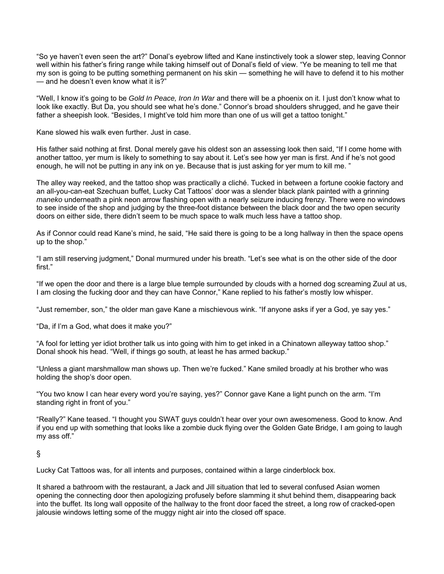"So ye haven't even seen the art?" Donal's eyebrow lifted and Kane instinctively took a slower step, leaving Connor well within his father's firing range while taking himself out of Donal's field of view. "Ye be meaning to tell me that my son is going to be putting something permanent on his skin — something he will have to defend it to his mother — and he doesn't even know what it is?"

"Well, I know it's going to be *Gold In Peace, Iron In War* and there will be a phoenix on it. I just don't know what to look like exactly. But Da, you should see what he's done." Connor's broad shoulders shrugged, and he gave their father a sheepish look. "Besides, I might've told him more than one of us will get a tattoo tonight."

Kane slowed his walk even further. Just in case.

His father said nothing at first. Donal merely gave his oldest son an assessing look then said, "If I come home with another tattoo, yer mum is likely to something to say about it. Let's see how yer man is first. And if he's not good enough, he will not be putting in any ink on ye. Because that is just asking for yer mum to kill me. "

The alley way reeked, and the tattoo shop was practically a cliché. Tucked in between a fortune cookie factory and an all-you-can-eat Szechuan buffet, Lucky Cat Tattoos' door was a slender black plank painted with a grinning *maneko* underneath a pink neon arrow flashing open with a nearly seizure inducing frenzy. There were no windows to see inside of the shop and judging by the three-foot distance between the black door and the two open security doors on either side, there didn't seem to be much space to walk much less have a tattoo shop.

As if Connor could read Kane's mind, he said, "He said there is going to be a long hallway in then the space opens up to the shop."

"I am still reserving judgment," Donal murmured under his breath. "Let's see what is on the other side of the door first."

"If we open the door and there is a large blue temple surrounded by clouds with a horned dog screaming Zuul at us, I am closing the fucking door and they can have Connor," Kane replied to his father's mostly low whisper.

"Just remember, son," the older man gave Kane a mischievous wink. "If anyone asks if yer a God, ye say yes."

"Da, if I'm a God, what does it make you?"

"A fool for letting yer idiot brother talk us into going with him to get inked in a Chinatown alleyway tattoo shop." Donal shook his head. "Well, if things go south, at least he has armed backup."

"Unless a giant marshmallow man shows up. Then we're fucked." Kane smiled broadly at his brother who was holding the shop's door open.

"You two know I can hear every word you're saying, yes?" Connor gave Kane a light punch on the arm. "I'm standing right in front of you."

"Really?" Kane teased. "I thought you SWAT guys couldn't hear over your own awesomeness. Good to know. And if you end up with something that looks like a zombie duck flying over the Golden Gate Bridge, I am going to laugh my ass off."

### §

Lucky Cat Tattoos was, for all intents and purposes, contained within a large cinderblock box.

It shared a bathroom with the restaurant, a Jack and Jill situation that led to several confused Asian women opening the connecting door then apologizing profusely before slamming it shut behind them, disappearing back into the buffet. Its long wall opposite of the hallway to the front door faced the street, a long row of cracked-open jalousie windows letting some of the muggy night air into the closed off space.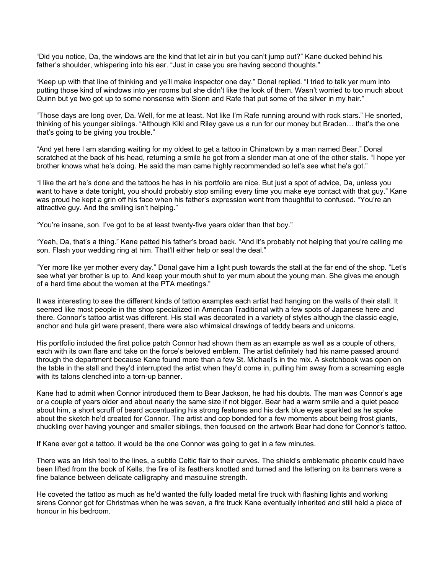"Did you notice, Da, the windows are the kind that let air in but you can't jump out?" Kane ducked behind his father's shoulder, whispering into his ear. "Just in case you are having second thoughts."

"Keep up with that line of thinking and ye'll make inspector one day." Donal replied. "I tried to talk yer mum into putting those kind of windows into yer rooms but she didn't like the look of them. Wasn't worried to too much about Quinn but ye two got up to some nonsense with Sionn and Rafe that put some of the silver in my hair."

"Those days are long over, Da. Well, for me at least. Not like I'm Rafe running around with rock stars." He snorted, thinking of his younger siblings. "Although Kiki and Riley gave us a run for our money but Braden… that's the one that's going to be giving you trouble."

"And yet here I am standing waiting for my oldest to get a tattoo in Chinatown by a man named Bear." Donal scratched at the back of his head, returning a smile he got from a slender man at one of the other stalls. "I hope yer brother knows what he's doing. He said the man came highly recommended so let's see what he's got."

"I like the art he's done and the tattoos he has in his portfolio are nice. But just a spot of advice, Da, unless you want to have a date tonight, you should probably stop smiling every time you make eye contact with that guy." Kane was proud he kept a grin off his face when his father's expression went from thoughtful to confused. "You're an attractive guy. And the smiling isn't helping."

"You're insane, son. I've got to be at least twenty-five years older than that boy."

"Yeah, Da, that's a thing." Kane patted his father's broad back. "And it's probably not helping that you're calling me son. Flash your wedding ring at him. That'll either help or seal the deal."

"Yer more like yer mother every day." Donal gave him a light push towards the stall at the far end of the shop. "Let's see what yer brother is up to. And keep your mouth shut to yer mum about the young man. She gives me enough of a hard time about the women at the PTA meetings."

It was interesting to see the different kinds of tattoo examples each artist had hanging on the walls of their stall. It seemed like most people in the shop specialized in American Traditional with a few spots of Japanese here and there. Connor's tattoo artist was different. His stall was decorated in a variety of styles although the classic eagle, anchor and hula girl were present, there were also whimsical drawings of teddy bears and unicorns.

His portfolio included the first police patch Connor had shown them as an example as well as a couple of others, each with its own flare and take on the force's beloved emblem. The artist definitely had his name passed around through the department because Kane found more than a few St. Michael's in the mix. A sketchbook was open on the table in the stall and they'd interrupted the artist when they'd come in, pulling him away from a screaming eagle with its talons clenched into a torn-up banner.

Kane had to admit when Connor introduced them to Bear Jackson, he had his doubts. The man was Connor's age or a couple of years older and about nearly the same size if not bigger. Bear had a warm smile and a quiet peace about him, a short scruff of beard accentuating his strong features and his dark blue eyes sparkled as he spoke about the sketch he'd created for Connor. The artist and cop bonded for a few moments about being frost giants, chuckling over having younger and smaller siblings, then focused on the artwork Bear had done for Connor's tattoo.

If Kane ever got a tattoo, it would be the one Connor was going to get in a few minutes.

There was an Irish feel to the lines, a subtle Celtic flair to their curves. The shield's emblematic phoenix could have been lifted from the book of Kells, the fire of its feathers knotted and turned and the lettering on its banners were a fine balance between delicate calligraphy and masculine strength.

He coveted the tattoo as much as he'd wanted the fully loaded metal fire truck with flashing lights and working sirens Connor got for Christmas when he was seven, a fire truck Kane eventually inherited and still held a place of honour in his bedroom.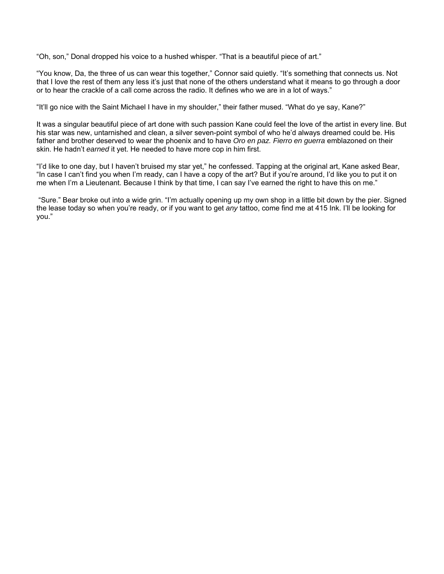"Oh, son," Donal dropped his voice to a hushed whisper. "That is a beautiful piece of art."

"You know, Da, the three of us can wear this together," Connor said quietly. "It's something that connects us. Not that I love the rest of them any less it's just that none of the others understand what it means to go through a door or to hear the crackle of a call come across the radio. It defines who we are in a lot of ways."

"It'll go nice with the Saint Michael I have in my shoulder," their father mused. "What do ye say, Kane?"

It was a singular beautiful piece of art done with such passion Kane could feel the love of the artist in every line. But his star was new, untarnished and clean, a silver seven-point symbol of who he'd always dreamed could be. His father and brother deserved to wear the phoenix and to have *Oro en paz. Fierro en guerra* emblazoned on their skin. He hadn't *earned* it yet. He needed to have more cop in him first.

"I'd like to one day, but I haven't bruised my star yet," he confessed. Tapping at the original art, Kane asked Bear, "In case I can't find you when I'm ready, can I have a copy of the art? But if you're around, I'd like you to put it on me when I'm a Lieutenant. Because I think by that time, I can say I've earned the right to have this on me."

 "Sure." Bear broke out into a wide grin. "I'm actually opening up my own shop in a little bit down by the pier. Signed the lease today so when you're ready, or if you want to get *any* tattoo, come find me at 415 Ink. I'll be looking for you."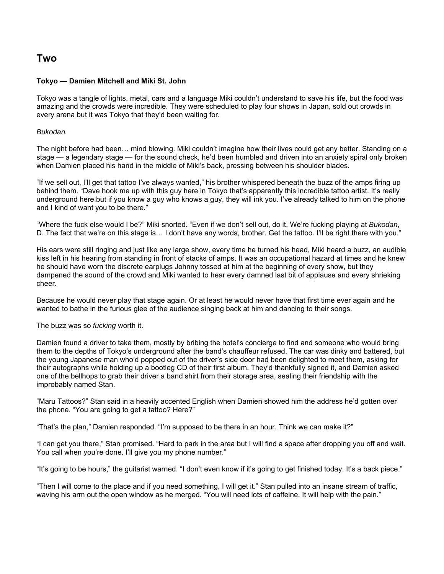## **Two**

## **Tokyo — Damien Mitchell and Miki St. John**

Tokyo was a tangle of lights, metal, cars and a language Miki couldn't understand to save his life, but the food was amazing and the crowds were incredible. They were scheduled to play four shows in Japan, sold out crowds in every arena but it was Tokyo that they'd been waiting for.

## *Bukodan.*

The night before had been… mind blowing. Miki couldn't imagine how their lives could get any better. Standing on a stage — a legendary stage — for the sound check, he'd been humbled and driven into an anxiety spiral only broken when Damien placed his hand in the middle of Miki's back, pressing between his shoulder blades.

"If we sell out, I'll get that tattoo I've always wanted," his brother whispered beneath the buzz of the amps firing up behind them. "Dave hook me up with this guy here in Tokyo that's apparently this incredible tattoo artist. It's really underground here but if you know a guy who knows a guy, they will ink you. I've already talked to him on the phone and I kind of want you to be there."

"Where the fuck else would I be?" Miki snorted. "Even if we don't sell out, do it. We're fucking playing at *Bukodan*, D. The fact that we're on this stage is… I don't have any words, brother. Get the tattoo. I'll be right there with you."

His ears were still ringing and just like any large show, every time he turned his head, Miki heard a buzz, an audible kiss left in his hearing from standing in front of stacks of amps. It was an occupational hazard at times and he knew he should have worn the discrete earplugs Johnny tossed at him at the beginning of every show, but they dampened the sound of the crowd and Miki wanted to hear every damned last bit of applause and every shrieking cheer.

Because he would never play that stage again. Or at least he would never have that first time ever again and he wanted to bathe in the furious glee of the audience singing back at him and dancing to their songs.

The buzz was so *fucking* worth it.

Damien found a driver to take them, mostly by bribing the hotel's concierge to find and someone who would bring them to the depths of Tokyo's underground after the band's chauffeur refused. The car was dinky and battered, but the young Japanese man who'd popped out of the driver's side door had been delighted to meet them, asking for their autographs while holding up a bootleg CD of their first album. They'd thankfully signed it, and Damien asked one of the bellhops to grab their driver a band shirt from their storage area, sealing their friendship with the improbably named Stan.

"Maru Tattoos?" Stan said in a heavily accented English when Damien showed him the address he'd gotten over the phone. "You are going to get a tattoo? Here?"

"That's the plan," Damien responded. "I'm supposed to be there in an hour. Think we can make it?"

"I can get you there," Stan promised. "Hard to park in the area but I will find a space after dropping you off and wait. You call when you're done. I'll give you my phone number."

"It's going to be hours," the guitarist warned. "I don't even know if it's going to get finished today. It's a back piece."

"Then I will come to the place and if you need something, I will get it." Stan pulled into an insane stream of traffic, waving his arm out the open window as he merged. "You will need lots of caffeine. It will help with the pain."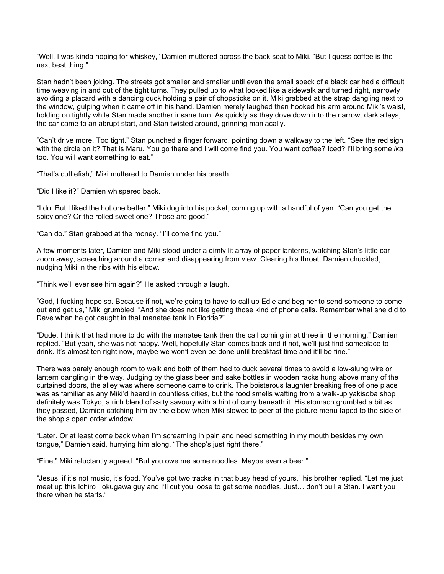"Well, I was kinda hoping for whiskey," Damien muttered across the back seat to Miki. "But I guess coffee is the next best thing."

Stan hadn't been joking. The streets got smaller and smaller until even the small speck of a black car had a difficult time weaving in and out of the tight turns. They pulled up to what looked like a sidewalk and turned right, narrowly avoiding a placard with a dancing duck holding a pair of chopsticks on it. Miki grabbed at the strap dangling next to the window, gulping when it came off in his hand. Damien merely laughed then hooked his arm around Miki's waist, holding on tightly while Stan made another insane turn. As quickly as they dove down into the narrow, dark alleys, the car came to an abrupt start, and Stan twisted around, grinning maniacally.

"Can't drive more. Too tight." Stan punched a finger forward, pointing down a walkway to the left. "See the red sign with the circle on it? That is Maru. You go there and I will come find you. You want coffee? Iced? I'll bring some *ika* too. You will want something to eat."

"That's cuttlefish," Miki muttered to Damien under his breath.

"Did I like it?" Damien whispered back.

"I do. But I liked the hot one better." Miki dug into his pocket, coming up with a handful of yen. "Can you get the spicy one? Or the rolled sweet one? Those are good."

"Can do." Stan grabbed at the money. "I'll come find you."

A few moments later, Damien and Miki stood under a dimly lit array of paper lanterns, watching Stan's little car zoom away, screeching around a corner and disappearing from view. Clearing his throat, Damien chuckled, nudging Miki in the ribs with his elbow.

"Think we'll ever see him again?" He asked through a laugh.

"God, I fucking hope so. Because if not, we're going to have to call up Edie and beg her to send someone to come out and get us," Miki grumbled. "And she does not like getting those kind of phone calls. Remember what she did to Dave when he got caught in that manatee tank in Florida?"

"Dude, I think that had more to do with the manatee tank then the call coming in at three in the morning," Damien replied. "But yeah, she was not happy. Well, hopefully Stan comes back and if not, we'll just find someplace to drink. It's almost ten right now, maybe we won't even be done until breakfast time and it'll be fine."

There was barely enough room to walk and both of them had to duck several times to avoid a low-slung wire or lantern dangling in the way. Judging by the glass beer and sake bottles in wooden racks hung above many of the curtained doors, the alley was where someone came to drink. The boisterous laughter breaking free of one place was as familiar as any Miki'd heard in countless cities, but the food smells wafting from a walk-up yakisoba shop definitely was Tokyo, a rich blend of salty savoury with a hint of curry beneath it. His stomach grumbled a bit as they passed, Damien catching him by the elbow when Miki slowed to peer at the picture menu taped to the side of the shop's open order window.

"Later. Or at least come back when I'm screaming in pain and need something in my mouth besides my own tongue," Damien said, hurrying him along. "The shop's just right there."

"Fine," Miki reluctantly agreed. "But you owe me some noodles. Maybe even a beer."

"Jesus, if it's not music, it's food. You've got two tracks in that busy head of yours," his brother replied. "Let me just meet up this Ichiro Tokugawa guy and I'll cut you loose to get some noodles. Just… don't pull a Stan. I want you there when he starts."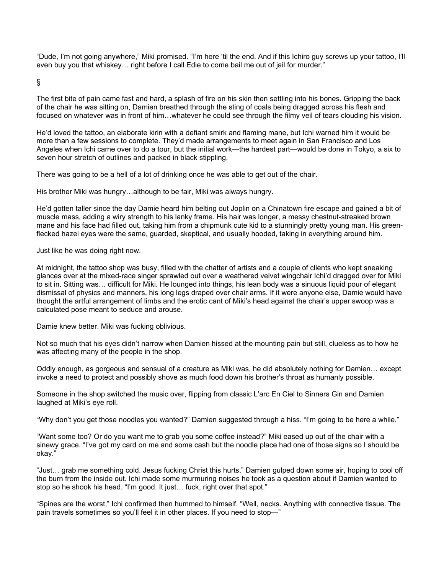"Dude, I'm not going anywhere," Miki promised. "I'm here 'til the end. And if this Ichiro guy screws up your tattoo, I'll even buy you that whiskey… right before I call Edie to come bail me out of jail for murder."

§

The first bite of pain came fast and hard, a splash of fire on his skin then settling into his bones. Gripping the back of the chair he was sitting on, Damien breathed through the sting of coals being dragged across his flesh and focused on whatever was in front of him…whatever he could see through the filmy veil of tears clouding his vision.

He'd loved the tattoo, an elaborate kirin with a defiant smirk and flaming mane, but Ichi warned him it would be more than a few sessions to complete. They'd made arrangements to meet again in San Francisco and Los Angeles when Ichi came over to do a tour, but the initial work—the hardest part—would be done in Tokyo, a six to seven hour stretch of outlines and packed in black stippling.

There was going to be a hell of a lot of drinking once he was able to get out of the chair.

His brother Miki was hungry…although to be fair, Miki was always hungry.

He'd gotten taller since the day Damie heard him belting out Joplin on a Chinatown fire escape and gained a bit of muscle mass, adding a wiry strength to his lanky frame. His hair was longer, a messy chestnut-streaked brown mane and his face had filled out, taking him from a chipmunk cute kid to a stunningly pretty young man. His greenflecked hazel eyes were the same, guarded, skeptical, and usually hooded, taking in everything around him.

Just like he was doing right now.

At midnight, the tattoo shop was busy, filled with the chatter of artists and a couple of clients who kept sneaking glances over at the mixed-race singer sprawled out over a weathered velvet wingchair Ichi'd dragged over for Miki to sit in. Sitting was… difficult for Miki. He lounged into things, his lean body was a sinuous liquid pour of elegant dismissal of physics and manners, his long legs draped over chair arms. If it were anyone else, Damie would have thought the artful arrangement of limbs and the erotic cant of Miki's head against the chair's upper swoop was a calculated pose meant to seduce and arouse.

Damie knew better. Miki was fucking oblivious.

Not so much that his eyes didn't narrow when Damien hissed at the mounting pain but still, clueless as to how he was affecting many of the people in the shop.

Oddly enough, as gorgeous and sensual of a creature as Miki was, he did absolutely nothing for Damien… except invoke a need to protect and possibly shove as much food down his brother's throat as humanly possible.

Someone in the shop switched the music over, flipping from classic L'arc En Ciel to Sinners Gin and Damien laughed at Miki's eye roll.

"Why don't you get those noodles you wanted?" Damien suggested through a hiss. "I'm going to be here a while."

"Want some too? Or do you want me to grab you some coffee instead?" Miki eased up out of the chair with a sinewy grace. "I've got my card on me and some cash but the noodle place had one of those signs so I should be okay."

"Just… grab me something cold. Jesus fucking Christ this hurts." Damien gulped down some air, hoping to cool off the burn from the inside out. Ichi made some murmuring noises he took as a question about if Damien wanted to stop so he shook his head. "I'm good. It just… fuck, right over that spot."

"Spines are the worst," Ichi confirmed then hummed to himself. "Well, necks. Anything with connective tissue. The pain travels sometimes so you'll feel it in other places. If you need to stop—"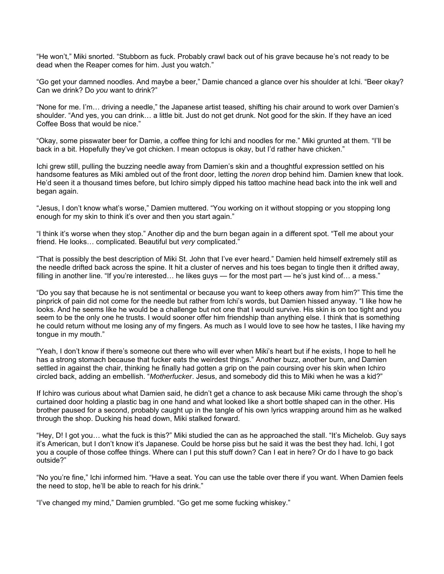"He won't," Miki snorted. "Stubborn as fuck. Probably crawl back out of his grave because he's not ready to be dead when the Reaper comes for him. Just you watch."

"Go get your damned noodles. And maybe a beer," Damie chanced a glance over his shoulder at Ichi. "Beer okay? Can we drink? Do *you* want to drink?"

"None for me. I'm… driving a needle," the Japanese artist teased, shifting his chair around to work over Damien's shoulder. "And yes, you can drink… a little bit. Just do not get drunk. Not good for the skin. If they have an iced Coffee Boss that would be nice."

"Okay, some pisswater beer for Damie, a coffee thing for Ichi and noodles for me." Miki grunted at them. "I'll be back in a bit. Hopefully they've got chicken. I mean octopus is okay, but I'd rather have chicken."

Ichi grew still, pulling the buzzing needle away from Damien's skin and a thoughtful expression settled on his handsome features as Miki ambled out of the front door, letting the *noren* drop behind him. Damien knew that look. He'd seen it a thousand times before, but Ichiro simply dipped his tattoo machine head back into the ink well and began again.

"Jesus, I don't know what's worse," Damien muttered. "You working on it without stopping or you stopping long enough for my skin to think it's over and then you start again."

"I think it's worse when they stop." Another dip and the burn began again in a different spot. "Tell me about your friend. He looks… complicated. Beautiful but *very* complicated."

"That is possibly the best description of Miki St. John that I've ever heard." Damien held himself extremely still as the needle drifted back across the spine. It hit a cluster of nerves and his toes began to tingle then it drifted away, filling in another line. "If you're interested... he likes guys — for the most part — he's just kind of... a mess."

"Do you say that because he is not sentimental or because you want to keep others away from him?" This time the pinprick of pain did not come for the needle but rather from Ichi's words, but Damien hissed anyway. "I like how he looks. And he seems like he would be a challenge but not one that I would survive. His skin is on too tight and you seem to be the only one he trusts. I would sooner offer him friendship than anything else. I think that is something he could return without me losing any of my fingers. As much as I would love to see how he tastes, I like having my tongue in my mouth."

"Yeah, I don't know if there's someone out there who will ever when Miki's heart but if he exists, I hope to hell he has a strong stomach because that fucker eats the weirdest things." Another buzz, another burn, and Damien settled in against the chair, thinking he finally had gotten a grip on the pain coursing over his skin when Ichiro circled back, adding an embellish. "*Motherfucker*. Jesus, and somebody did this to Miki when he was a kid?"

If Ichiro was curious about what Damien said, he didn't get a chance to ask because Miki came through the shop's curtained door holding a plastic bag in one hand and what looked like a short bottle shaped can in the other. His brother paused for a second, probably caught up in the tangle of his own lyrics wrapping around him as he walked through the shop. Ducking his head down, Miki stalked forward.

"Hey, D! I got you… what the fuck is this?" Miki studied the can as he approached the stall. "It's Michelob. Guy says it's American, but I don't know it's Japanese. Could be horse piss but he said it was the best they had. Ichi, I got you a couple of those coffee things. Where can I put this stuff down? Can I eat in here? Or do I have to go back outside?"

"No you're fine," Ichi informed him. "Have a seat. You can use the table over there if you want. When Damien feels the need to stop, he'll be able to reach for his drink."

"I've changed my mind," Damien grumbled. "Go get me some fucking whiskey."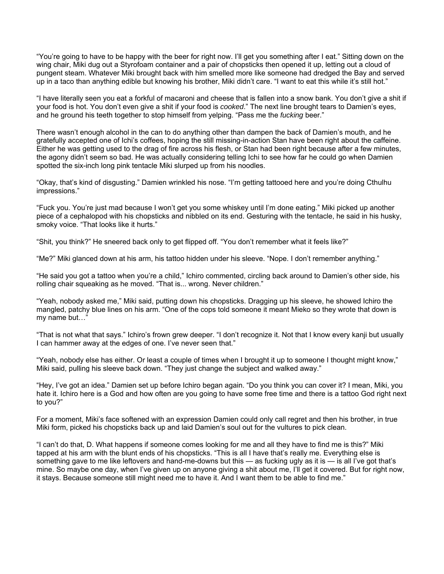"You're going to have to be happy with the beer for right now. I'll get you something after I eat." Sitting down on the wing chair, Miki dug out a Styrofoam container and a pair of chopsticks then opened it up, letting out a cloud of pungent steam. Whatever Miki brought back with him smelled more like someone had dredged the Bay and served up in a taco than anything edible but knowing his brother, Miki didn't care. "I want to eat this while it's still hot."

"I have literally seen you eat a forkful of macaroni and cheese that is fallen into a snow bank. You don't give a shit if your food is hot. You don't even give a shit if your food is *cooked*." The next line brought tears to Damien's eyes, and he ground his teeth together to stop himself from yelping. "Pass me the *fucking* beer."

There wasn't enough alcohol in the can to do anything other than dampen the back of Damien's mouth, and he gratefully accepted one of Ichi's coffees, hoping the still missing-in-action Stan have been right about the caffeine. Either he was getting used to the drag of fire across his flesh, or Stan had been right because after a few minutes, the agony didn't seem so bad. He was actually considering telling Ichi to see how far he could go when Damien spotted the six-inch long pink tentacle Miki slurped up from his noodles.

"Okay, that's kind of disgusting." Damien wrinkled his nose. "I'm getting tattooed here and you're doing Cthulhu impressions."

"Fuck you. You're just mad because I won't get you some whiskey until I'm done eating." Miki picked up another piece of a cephalopod with his chopsticks and nibbled on its end. Gesturing with the tentacle, he said in his husky, smoky voice. "That looks like it hurts."

"Shit, you think?" He sneered back only to get flipped off. "You don't remember what it feels like?"

"Me?" Miki glanced down at his arm, his tattoo hidden under his sleeve. "Nope. I don't remember anything."

"He said you got a tattoo when you're a child," Ichiro commented, circling back around to Damien's other side, his rolling chair squeaking as he moved. "That is... wrong. Never children."

"Yeah, nobody asked me," Miki said, putting down his chopsticks. Dragging up his sleeve, he showed Ichiro the mangled, patchy blue lines on his arm. "One of the cops told someone it meant Mieko so they wrote that down is my name but…"

"That is not what that says." Ichiro's frown grew deeper. "I don't recognize it. Not that I know every kanji but usually I can hammer away at the edges of one. I've never seen that."

"Yeah, nobody else has either. Or least a couple of times when I brought it up to someone I thought might know," Miki said, pulling his sleeve back down. "They just change the subject and walked away."

"Hey, I've got an idea." Damien set up before Ichiro began again. "Do you think you can cover it? I mean, Miki, you hate it. Ichiro here is a God and how often are you going to have some free time and there is a tattoo God right next to you?"

For a moment, Miki's face softened with an expression Damien could only call regret and then his brother, in true Miki form, picked his chopsticks back up and laid Damien's soul out for the vultures to pick clean.

"I can't do that, D. What happens if someone comes looking for me and all they have to find me is this?" Miki tapped at his arm with the blunt ends of his chopsticks. "This is all I have that's really me. Everything else is something gave to me like leftovers and hand-me-downs but this — as fucking ugly as it is — is all I've got that's mine. So maybe one day, when I've given up on anyone giving a shit about me, I'll get it covered. But for right now, it stays. Because someone still might need me to have it. And I want them to be able to find me."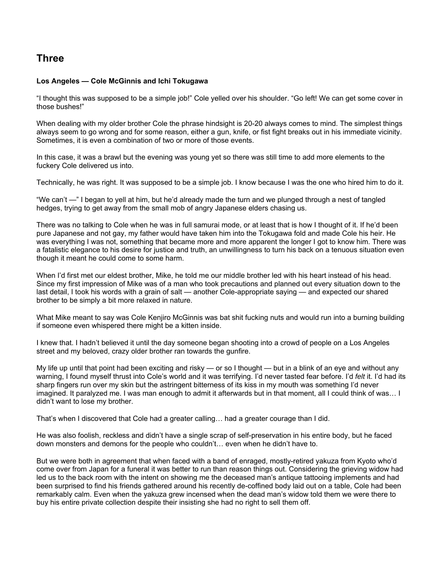# **Three**

## **Los Angeles — Cole McGinnis and Ichi Tokugawa**

"I thought this was supposed to be a simple job!" Cole yelled over his shoulder. "Go left! We can get some cover in those bushes!"

When dealing with my older brother Cole the phrase hindsight is 20-20 always comes to mind. The simplest things always seem to go wrong and for some reason, either a gun, knife, or fist fight breaks out in his immediate vicinity. Sometimes, it is even a combination of two or more of those events.

In this case, it was a brawl but the evening was young yet so there was still time to add more elements to the fuckery Cole delivered us into.

Technically, he was right. It was supposed to be a simple job. I know because I was the one who hired him to do it.

"We can't —" I began to yell at him, but he'd already made the turn and we plunged through a nest of tangled hedges, trying to get away from the small mob of angry Japanese elders chasing us.

There was no talking to Cole when he was in full samurai mode, or at least that is how I thought of it. If he'd been pure Japanese and not gay, my father would have taken him into the Tokugawa fold and made Cole his heir. He was everything I was not, something that became more and more apparent the longer I got to know him. There was a fatalistic elegance to his desire for justice and truth, an unwillingness to turn his back on a tenuous situation even though it meant he could come to some harm.

When I'd first met our eldest brother, Mike, he told me our middle brother led with his heart instead of his head. Since my first impression of Mike was of a man who took precautions and planned out every situation down to the last detail, I took his words with a grain of salt — another Cole-appropriate saying — and expected our shared brother to be simply a bit more relaxed in nature.

What Mike meant to say was Cole Kenjiro McGinnis was bat shit fucking nuts and would run into a burning building if someone even whispered there might be a kitten inside.

I knew that. I hadn't believed it until the day someone began shooting into a crowd of people on a Los Angeles street and my beloved, crazy older brother ran towards the gunfire.

My life up until that point had been exciting and risky — or so I thought — but in a blink of an eye and without any warning, I found myself thrust into Cole's world and it was terrifying. I'd never tasted fear before. I'd *felt* it. I'd had its sharp fingers run over my skin but the astringent bitterness of its kiss in my mouth was something I'd never imagined. It paralyzed me. I was man enough to admit it afterwards but in that moment, all I could think of was… I didn't want to lose my brother.

That's when I discovered that Cole had a greater calling… had a greater courage than I did.

He was also foolish, reckless and didn't have a single scrap of self-preservation in his entire body, but he faced down monsters and demons for the people who couldn't… even when he didn't have to.

But we were both in agreement that when faced with a band of enraged, mostly-retired yakuza from Kyoto who'd come over from Japan for a funeral it was better to run than reason things out. Considering the grieving widow had led us to the back room with the intent on showing me the deceased man's antique tattooing implements and had been surprised to find his friends gathered around his recently de-coffined body laid out on a table, Cole had been remarkably calm. Even when the yakuza grew incensed when the dead man's widow told them we were there to buy his entire private collection despite their insisting she had no right to sell them off.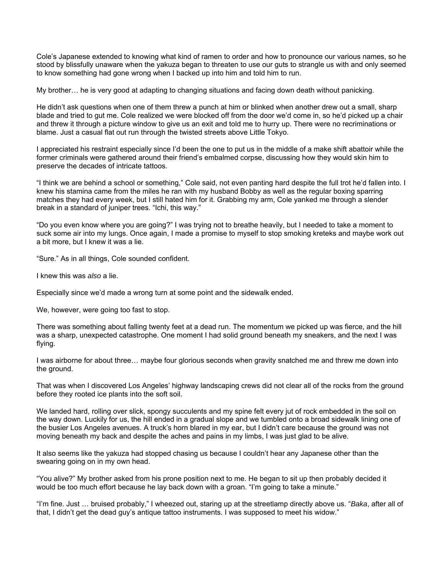Cole's Japanese extended to knowing what kind of ramen to order and how to pronounce our various names, so he stood by blissfully unaware when the yakuza began to threaten to use our guts to strangle us with and only seemed to know something had gone wrong when I backed up into him and told him to run.

My brother… he is very good at adapting to changing situations and facing down death without panicking.

He didn't ask questions when one of them threw a punch at him or blinked when another drew out a small, sharp blade and tried to gut me. Cole realized we were blocked off from the door we'd come in, so he'd picked up a chair and threw it through a picture window to give us an exit and told me to hurry up. There were no recriminations or blame. Just a casual flat out run through the twisted streets above Little Tokyo.

I appreciated his restraint especially since I'd been the one to put us in the middle of a make shift abattoir while the former criminals were gathered around their friend's embalmed corpse, discussing how they would skin him to preserve the decades of intricate tattoos.

"I think we are behind a school or something," Cole said, not even panting hard despite the full trot he'd fallen into. I knew his stamina came from the miles he ran with my husband Bobby as well as the regular boxing sparring matches they had every week, but I still hated him for it. Grabbing my arm, Cole yanked me through a slender break in a standard of juniper trees. "Ichi, this way."

"Do you even know where you are going?" I was trying not to breathe heavily, but I needed to take a moment to suck some air into my lungs. Once again, I made a promise to myself to stop smoking kreteks and maybe work out a bit more, but I knew it was a lie.

"Sure." As in all things, Cole sounded confident.

I knew this was *also* a lie.

Especially since we'd made a wrong turn at some point and the sidewalk ended.

We, however, were going too fast to stop.

There was something about falling twenty feet at a dead run. The momentum we picked up was fierce, and the hill was a sharp, unexpected catastrophe. One moment I had solid ground beneath my sneakers, and the next I was flying.

I was airborne for about three… maybe four glorious seconds when gravity snatched me and threw me down into the ground.

That was when I discovered Los Angeles' highway landscaping crews did not clear all of the rocks from the ground before they rooted ice plants into the soft soil.

We landed hard, rolling over slick, spongy succulents and my spine felt every jut of rock embedded in the soil on the way down. Luckily for us, the hill ended in a gradual slope and we tumbled onto a broad sidewalk lining one of the busier Los Angeles avenues. A truck's horn blared in my ear, but I didn't care because the ground was not moving beneath my back and despite the aches and pains in my limbs, I was just glad to be alive.

It also seems like the yakuza had stopped chasing us because I couldn't hear any Japanese other than the swearing going on in my own head.

"You alive?" My brother asked from his prone position next to me. He began to sit up then probably decided it would be too much effort because he lay back down with a groan. "I'm going to take a minute."

"I'm fine. Just … bruised probably," I wheezed out, staring up at the streetlamp directly above us. "*Baka*, after all of that, I didn't get the dead guy's antique tattoo instruments. I was supposed to meet his widow."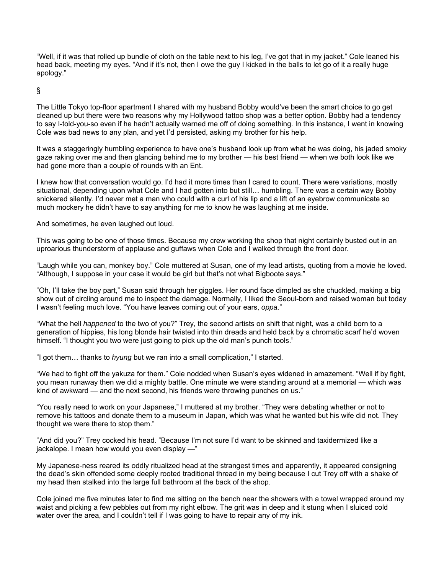"Well, if it was that rolled up bundle of cloth on the table next to his leg, I've got that in my jacket." Cole leaned his head back, meeting my eyes. "And if it's not, then I owe the guy I kicked in the balls to let go of it a really huge apology."

§

The Little Tokyo top-floor apartment I shared with my husband Bobby would've been the smart choice to go get cleaned up but there were two reasons why my Hollywood tattoo shop was a better option. Bobby had a tendency to say I-told-you-so even if he hadn't actually warned me off of doing something. In this instance, I went in knowing Cole was bad news to any plan, and yet I'd persisted, asking my brother for his help.

It was a staggeringly humbling experience to have one's husband look up from what he was doing, his jaded smoky gaze raking over me and then glancing behind me to my brother — his best friend — when we both look like we had gone more than a couple of rounds with an Ent.

I knew how that conversation would go. I'd had it more times than I cared to count. There were variations, mostly situational, depending upon what Cole and I had gotten into but still… humbling. There was a certain way Bobby snickered silently. I'd never met a man who could with a curl of his lip and a lift of an eyebrow communicate so much mockery he didn't have to say anything for me to know he was laughing at me inside.

And sometimes, he even laughed out loud.

This was going to be one of those times. Because my crew working the shop that night certainly busted out in an uproarious thunderstorm of applause and guffaws when Cole and I walked through the front door.

"Laugh while you can, monkey boy." Cole muttered at Susan, one of my lead artists, quoting from a movie he loved. "Although, I suppose in your case it would be girl but that's not what Bigboote says."

"Oh, I'll take the boy part," Susan said through her giggles. Her round face dimpled as she chuckled, making a big show out of circling around me to inspect the damage. Normally, I liked the Seoul-born and raised woman but today I wasn't feeling much love. "You have leaves coming out of your ears, *oppa*."

"What the hell *happened* to the two of you?" Trey, the second artists on shift that night, was a child born to a generation of hippies, his long blonde hair twisted into thin dreads and held back by a chromatic scarf he'd woven himself. "I thought you two were just going to pick up the old man's punch tools."

"I got them… thanks to *hyung* but we ran into a small complication," I started.

"We had to fight off the yakuza for them." Cole nodded when Susan's eyes widened in amazement. "Well if by fight, you mean runaway then we did a mighty battle. One minute we were standing around at a memorial — which was kind of awkward — and the next second, his friends were throwing punches on us."

"You really need to work on your Japanese," I muttered at my brother. "They were debating whether or not to remove his tattoos and donate them to a museum in Japan, which was what he wanted but his wife did not. They thought we were there to stop them."

"And did you?" Trey cocked his head. "Because I'm not sure I'd want to be skinned and taxidermized like a jackalope. I mean how would you even display —"

My Japanese-ness reared its oddly ritualized head at the strangest times and apparently, it appeared consigning the dead's skin offended some deeply rooted traditional thread in my being because I cut Trey off with a shake of my head then stalked into the large full bathroom at the back of the shop.

Cole joined me five minutes later to find me sitting on the bench near the showers with a towel wrapped around my waist and picking a few pebbles out from my right elbow. The grit was in deep and it stung when I sluiced cold water over the area, and I couldn't tell if I was going to have to repair any of my ink.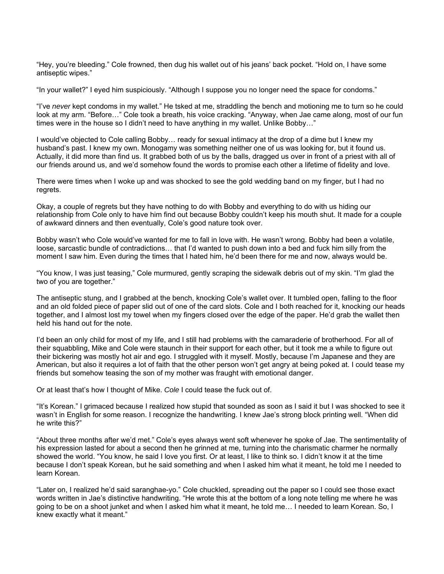"Hey, you're bleeding." Cole frowned, then dug his wallet out of his jeans' back pocket. "Hold on, I have some antiseptic wipes."

"In your wallet?" I eyed him suspiciously. "Although I suppose you no longer need the space for condoms."

"I've *never* kept condoms in my wallet." He tsked at me, straddling the bench and motioning me to turn so he could look at my arm. "Before…" Cole took a breath, his voice cracking. "Anyway, when Jae came along, most of our fun times were in the house so I didn't need to have anything in my wallet. Unlike Bobby…"

I would've objected to Cole calling Bobby… ready for sexual intimacy at the drop of a dime but I knew my husband's past. I knew my own. Monogamy was something neither one of us was looking for, but it found us. Actually, it did more than find us. It grabbed both of us by the balls, dragged us over in front of a priest with all of our friends around us, and we'd somehow found the words to promise each other a lifetime of fidelity and love.

There were times when I woke up and was shocked to see the gold wedding band on my finger, but I had no regrets.

Okay, a couple of regrets but they have nothing to do with Bobby and everything to do with us hiding our relationship from Cole only to have him find out because Bobby couldn't keep his mouth shut. It made for a couple of awkward dinners and then eventually, Cole's good nature took over.

Bobby wasn't who Cole would've wanted for me to fall in love with. He wasn't wrong. Bobby had been a volatile, loose, sarcastic bundle of contradictions… that I'd wanted to push down into a bed and fuck him silly from the moment I saw him. Even during the times that I hated him, he'd been there for me and now, always would be.

"You know, I was just teasing," Cole murmured, gently scraping the sidewalk debris out of my skin. "I'm glad the two of you are together."

The antiseptic stung, and I grabbed at the bench, knocking Cole's wallet over. It tumbled open, falling to the floor and an old folded piece of paper slid out of one of the card slots. Cole and I both reached for it, knocking our heads together, and I almost lost my towel when my fingers closed over the edge of the paper. He'd grab the wallet then held his hand out for the note.

I'd been an only child for most of my life, and I still had problems with the camaraderie of brotherhood. For all of their squabbling, Mike and Cole were staunch in their support for each other, but it took me a while to figure out their bickering was mostly hot air and ego. I struggled with it myself. Mostly, because I'm Japanese and they are American, but also it requires a lot of faith that the other person won't get angry at being poked at. I could tease my friends but somehow teasing the son of my mother was fraught with emotional danger.

Or at least that's how I thought of Mike. *Cole* I could tease the fuck out of.

"It's Korean." I grimaced because I realized how stupid that sounded as soon as I said it but I was shocked to see it wasn't in English for some reason. I recognize the handwriting. I knew Jae's strong block printing well. "When did he write this?"

"About three months after we'd met." Cole's eyes always went soft whenever he spoke of Jae. The sentimentality of his expression lasted for about a second then he grinned at me, turning into the charismatic charmer he normally showed the world. "You know, he said I love you first. Or at least, I like to think so. I didn't know it at the time because I don't speak Korean, but he said something and when I asked him what it meant, he told me I needed to learn Korean.

"Later on, I realized he'd said saranghae-yo." Cole chuckled, spreading out the paper so I could see those exact words written in Jae's distinctive handwriting. "He wrote this at the bottom of a long note telling me where he was going to be on a shoot junket and when I asked him what it meant, he told me… I needed to learn Korean. So, I knew exactly what it meant."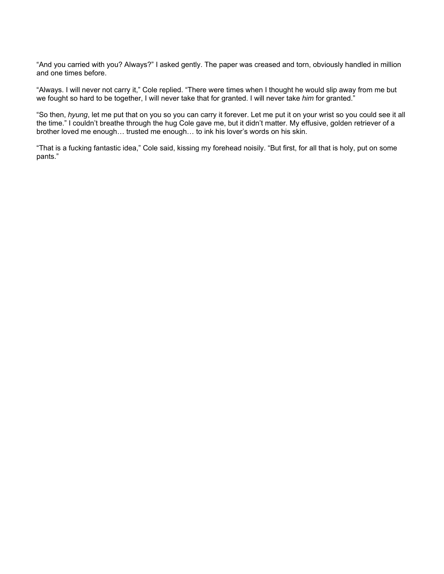"And you carried with you? Always?" I asked gently. The paper was creased and torn, obviously handled in million and one times before.

"Always. I will never not carry it," Cole replied. "There were times when I thought he would slip away from me but we fought so hard to be together, I will never take that for granted. I will never take *him* for granted."

"So then, *hyung*, let me put that on you so you can carry it forever. Let me put it on your wrist so you could see it all the time." I couldn't breathe through the hug Cole gave me, but it didn't matter. My effusive, golden retriever of a brother loved me enough… trusted me enough… to ink his lover's words on his skin.

"That is a fucking fantastic idea," Cole said, kissing my forehead noisily. "But first, for all that is holy, put on some pants."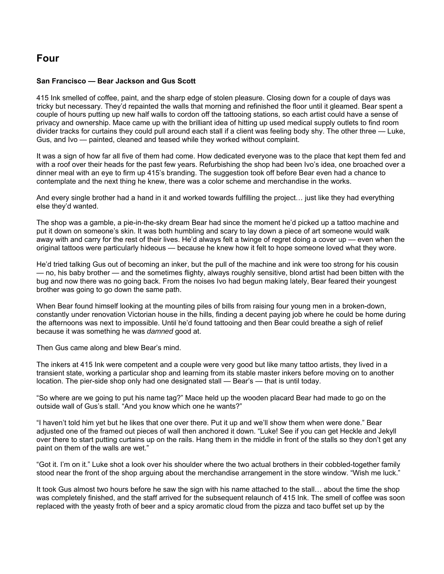# **Four**

## **San Francisco — Bear Jackson and Gus Scott**

415 Ink smelled of coffee, paint, and the sharp edge of stolen pleasure. Closing down for a couple of days was tricky but necessary. They'd repainted the walls that morning and refinished the floor until it gleamed. Bear spent a couple of hours putting up new half walls to cordon off the tattooing stations, so each artist could have a sense of privacy and ownership. Mace came up with the brilliant idea of hitting up used medical supply outlets to find room divider tracks for curtains they could pull around each stall if a client was feeling body shy. The other three — Luke, Gus, and Ivo — painted, cleaned and teased while they worked without complaint.

It was a sign of how far all five of them had come. How dedicated everyone was to the place that kept them fed and with a roof over their heads for the past few years. Refurbishing the shop had been Ivo's idea, one broached over a dinner meal with an eye to firm up 415's branding. The suggestion took off before Bear even had a chance to contemplate and the next thing he knew, there was a color scheme and merchandise in the works.

And every single brother had a hand in it and worked towards fulfilling the project… just like they had everything else they'd wanted.

The shop was a gamble, a pie-in-the-sky dream Bear had since the moment he'd picked up a tattoo machine and put it down on someone's skin. It was both humbling and scary to lay down a piece of art someone would walk away with and carry for the rest of their lives. He'd always felt a twinge of regret doing a cover up — even when the original tattoos were particularly hideous — because he knew how it felt to hope someone loved what they wore.

He'd tried talking Gus out of becoming an inker, but the pull of the machine and ink were too strong for his cousin — no, his baby brother — and the sometimes flighty, always roughly sensitive, blond artist had been bitten with the bug and now there was no going back. From the noises Ivo had begun making lately, Bear feared their youngest brother was going to go down the same path.

When Bear found himself looking at the mounting piles of bills from raising four young men in a broken-down, constantly under renovation Victorian house in the hills, finding a decent paying job where he could be home during the afternoons was next to impossible. Until he'd found tattooing and then Bear could breathe a sigh of relief because it was something he was *damned* good at.

Then Gus came along and blew Bear's mind.

The inkers at 415 Ink were competent and a couple were very good but like many tattoo artists, they lived in a transient state, working a particular shop and learning from its stable master inkers before moving on to another location. The pier-side shop only had one designated stall — Bear's — that is until today.

"So where are we going to put his name tag?" Mace held up the wooden placard Bear had made to go on the outside wall of Gus's stall. "And you know which one he wants?"

"I haven't told him yet but he likes that one over there. Put it up and we'll show them when were done." Bear adjusted one of the framed out pieces of wall then anchored it down. "Luke! See if you can get Heckle and Jekyll over there to start putting curtains up on the rails. Hang them in the middle in front of the stalls so they don't get any paint on them of the walls are wet."

"Got it. I'm on it." Luke shot a look over his shoulder where the two actual brothers in their cobbled-together family stood near the front of the shop arguing about the merchandise arrangement in the store window. "Wish me luck."

It took Gus almost two hours before he saw the sign with his name attached to the stall… about the time the shop was completely finished, and the staff arrived for the subsequent relaunch of 415 Ink. The smell of coffee was soon replaced with the yeasty froth of beer and a spicy aromatic cloud from the pizza and taco buffet set up by the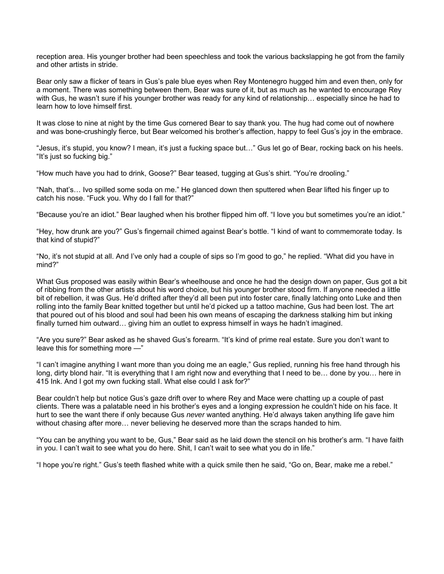reception area. His younger brother had been speechless and took the various backslapping he got from the family and other artists in stride.

Bear only saw a flicker of tears in Gus's pale blue eyes when Rey Montenegro hugged him and even then, only for a moment. There was something between them, Bear was sure of it, but as much as he wanted to encourage Rey with Gus, he wasn't sure if his younger brother was ready for any kind of relationship… especially since he had to learn how to love himself first.

It was close to nine at night by the time Gus cornered Bear to say thank you. The hug had come out of nowhere and was bone-crushingly fierce, but Bear welcomed his brother's affection, happy to feel Gus's joy in the embrace.

"Jesus, it's stupid, you know? I mean, it's just a fucking space but…" Gus let go of Bear, rocking back on his heels. "It's just so fucking big."

"How much have you had to drink, Goose?" Bear teased, tugging at Gus's shirt. "You're drooling."

"Nah, that's… Ivo spilled some soda on me." He glanced down then sputtered when Bear lifted his finger up to catch his nose. "Fuck you. Why do I fall for that?"

"Because you're an idiot." Bear laughed when his brother flipped him off. "I love you but sometimes you're an idiot."

"Hey, how drunk are you?" Gus's fingernail chimed against Bear's bottle. "I kind of want to commemorate today. Is that kind of stupid?"

"No, it's not stupid at all. And I've only had a couple of sips so I'm good to go," he replied. "What did you have in mind?"

What Gus proposed was easily within Bear's wheelhouse and once he had the design down on paper, Gus got a bit of ribbing from the other artists about his word choice, but his younger brother stood firm. If anyone needed a little bit of rebellion, it was Gus. He'd drifted after they'd all been put into foster care, finally latching onto Luke and then rolling into the family Bear knitted together but until he'd picked up a tattoo machine, Gus had been lost. The art that poured out of his blood and soul had been his own means of escaping the darkness stalking him but inking finally turned him outward… giving him an outlet to express himself in ways he hadn't imagined.

"Are you sure?" Bear asked as he shaved Gus's forearm. "It's kind of prime real estate. Sure you don't want to leave this for something more —"

"I can't imagine anything I want more than you doing me an eagle," Gus replied, running his free hand through his long, dirty blond hair. "It is everything that I am right now and everything that I need to be… done by you… here in 415 Ink. And I got my own fucking stall. What else could I ask for?"

Bear couldn't help but notice Gus's gaze drift over to where Rey and Mace were chatting up a couple of past clients. There was a palatable need in his brother's eyes and a longing expression he couldn't hide on his face. It hurt to see the want there if only because Gus *never* wanted anything. He'd always taken anything life gave him without chasing after more… never believing he deserved more than the scraps handed to him.

"You can be anything you want to be, Gus," Bear said as he laid down the stencil on his brother's arm. "I have faith in you. I can't wait to see what you do here. Shit, I can't wait to see what you do in life."

"I hope you're right." Gus's teeth flashed white with a quick smile then he said, "Go on, Bear, make me a rebel."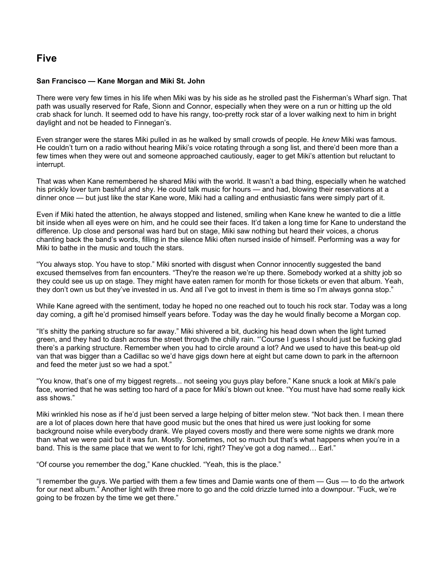# **Five**

### **San Francisco — Kane Morgan and Miki St. John**

There were very few times in his life when Miki was by his side as he strolled past the Fisherman's Wharf sign. That path was usually reserved for Rafe, Sionn and Connor, especially when they were on a run or hitting up the old crab shack for lunch. It seemed odd to have his rangy, too-pretty rock star of a lover walking next to him in bright daylight and not be headed to Finnegan's.

Even stranger were the stares Miki pulled in as he walked by small crowds of people. He *knew* Miki was famous. He couldn't turn on a radio without hearing Miki's voice rotating through a song list, and there'd been more than a few times when they were out and someone approached cautiously, eager to get Miki's attention but reluctant to interrupt.

That was when Kane remembered he shared Miki with the world. It wasn't a bad thing, especially when he watched his prickly lover turn bashful and shy. He could talk music for hours — and had, blowing their reservations at a dinner once — but just like the star Kane wore, Miki had a calling and enthusiastic fans were simply part of it.

Even if Miki hated the attention, he always stopped and listened, smiling when Kane knew he wanted to die a little bit inside when all eyes were on him, and he could see their faces. It'd taken a long time for Kane to understand the difference. Up close and personal was hard but on stage, Miki saw nothing but heard their voices, a chorus chanting back the band's words, filling in the silence Miki often nursed inside of himself. Performing was a way for Miki to bathe in the music and touch the stars.

"You always stop. You have to stop." Miki snorted with disgust when Connor innocently suggested the band excused themselves from fan encounters. "They're the reason we're up there. Somebody worked at a shitty job so they could see us up on stage. They might have eaten ramen for month for those tickets or even that album. Yeah, they don't own us but they've invested in us. And all I've got to invest in them is time so I'm always gonna stop."

While Kane agreed with the sentiment, today he hoped no one reached out to touch his rock star. Today was a long day coming, a gift he'd promised himself years before. Today was the day he would finally become a Morgan cop.

"It's shitty the parking structure so far away." Miki shivered a bit, ducking his head down when the light turned green, and they had to dash across the street through the chilly rain. "'Course I guess I should just be fucking glad there's a parking structure. Remember when you had to circle around a lot? And we used to have this beat-up old van that was bigger than a Cadillac so we'd have gigs down here at eight but came down to park in the afternoon and feed the meter just so we had a spot."

"You know, that's one of my biggest regrets... not seeing you guys play before." Kane snuck a look at Miki's pale face, worried that he was setting too hard of a pace for Miki's blown out knee. "You must have had some really kick ass shows."

Miki wrinkled his nose as if he'd just been served a large helping of bitter melon stew. "Not back then. I mean there are a lot of places down here that have good music but the ones that hired us were just looking for some background noise while everybody drank. We played covers mostly and there were some nights we drank more than what we were paid but it was fun. Mostly. Sometimes, not so much but that's what happens when you're in a band. This is the same place that we went to for Ichi, right? They've got a dog named… Earl."

"Of course you remember the dog," Kane chuckled. "Yeah, this is the place."

"I remember the guys. We partied with them a few times and Damie wants one of them — Gus — to do the artwork for our next album." Another light with three more to go and the cold drizzle turned into a downpour. "Fuck, we're going to be frozen by the time we get there."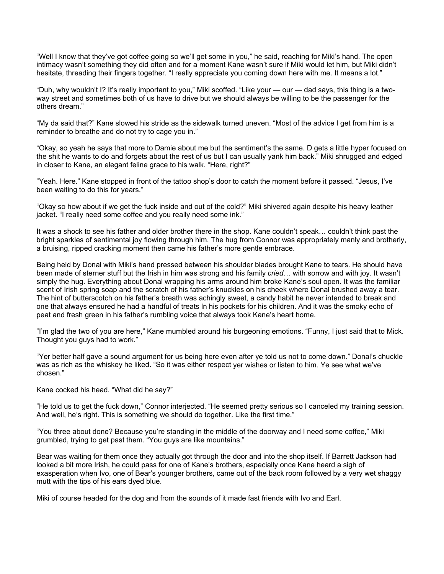"Well I know that they've got coffee going so we'll get some in you," he said, reaching for Miki's hand. The open intimacy wasn't something they did often and for a moment Kane wasn't sure if Miki would let him, but Miki didn't hesitate, threading their fingers together. "I really appreciate you coming down here with me. It means a lot."

"Duh, why wouldn't I? It's really important to you," Miki scoffed. "Like your — our — dad says, this thing is a twoway street and sometimes both of us have to drive but we should always be willing to be the passenger for the others dream."

"My da said that?" Kane slowed his stride as the sidewalk turned uneven. "Most of the advice I get from him is a reminder to breathe and do not try to cage you in."

"Okay, so yeah he says that more to Damie about me but the sentiment's the same. D gets a little hyper focused on the shit he wants to do and forgets about the rest of us but I can usually yank him back." Miki shrugged and edged in closer to Kane, an elegant feline grace to his walk. "Here, right?"

"Yeah. Here." Kane stopped in front of the tattoo shop's door to catch the moment before it passed. "Jesus, I've been waiting to do this for years."

"Okay so how about if we get the fuck inside and out of the cold?" Miki shivered again despite his heavy leather jacket. "I really need some coffee and you really need some ink."

It was a shock to see his father and older brother there in the shop. Kane couldn't speak… couldn't think past the bright sparkles of sentimental joy flowing through him. The hug from Connor was appropriately manly and brotherly, a bruising, ripped cracking moment then came his father's more gentle embrace.

Being held by Donal with Miki's hand pressed between his shoulder blades brought Kane to tears. He should have been made of sterner stuff but the Irish in him was strong and his family *cried*… with sorrow and with joy. It wasn't simply the hug. Everything about Donal wrapping his arms around him broke Kane's soul open. It was the familiar scent of Irish spring soap and the scratch of his father's knuckles on his cheek where Donal brushed away a tear. The hint of butterscotch on his father's breath was achingly sweet, a candy habit he never intended to break and one that always ensured he had a handful of treats ln his pockets for his children. And it was the smoky echo of peat and fresh green in his father's rumbling voice that always took Kane's heart home.

"I'm glad the two of you are here," Kane mumbled around his burgeoning emotions. "Funny, I just said that to Mick. Thought you guys had to work."

"Yer better half gave a sound argument for us being here even after ye told us not to come down." Donal's chuckle was as rich as the whiskey he liked. "So it was either respect yer wishes or listen to him. Ye see what we've chosen."

Kane cocked his head. "What did he say?"

"He told us to get the fuck down," Connor interjected. "He seemed pretty serious so I canceled my training session. And well, he's right. This is something we should do together. Like the first time."

"You three about done? Because you're standing in the middle of the doorway and I need some coffee," Miki grumbled, trying to get past them. "You guys are like mountains."

Bear was waiting for them once they actually got through the door and into the shop itself. If Barrett Jackson had looked a bit more Irish, he could pass for one of Kane's brothers, especially once Kane heard a sigh of exasperation when Ivo, one of Bear's younger brothers, came out of the back room followed by a very wet shaggy mutt with the tips of his ears dyed blue.

Miki of course headed for the dog and from the sounds of it made fast friends with Ivo and Earl.